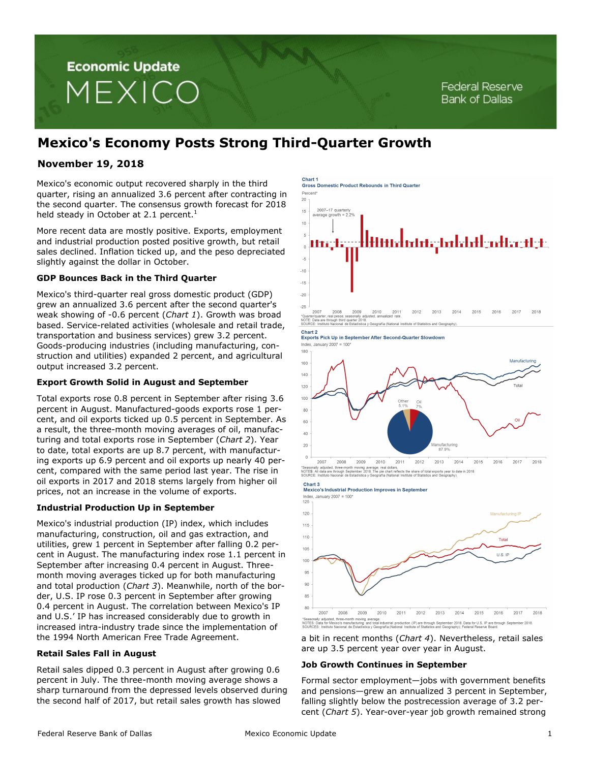# **Economic Update** MEXICO

# **Mexico's Economy Posts Strong Third-Quarter Growth**

# **November 19, 2018**

Mexico's economic output recovered sharply in the third quarter, rising an annualized 3.6 percent after contracting in the second quarter. The consensus growth forecast for 2018 held steady in October at 2.1 percent.<sup>1</sup>

More recent data are mostly positive. Exports, employment and industrial production posted positive growth, but retail sales declined. Inflation ticked up, and the peso depreciated slightly against the dollar in October.

# **GDP Bounces Back in the Third Quarter**

Mexico's third-quarter real gross domestic product (GDP) grew an annualized 3.6 percent after the second quarter's weak showing of -0.6 percent (*Chart 1*). Growth was broad based. Service-related activities (wholesale and retail trade, transportation and business services) grew 3.2 percent. Goods-producing industries (including manufacturing, construction and utilities) expanded 2 percent, and agricultural output increased 3.2 percent.

# **Export Growth Solid in August and September**

Total exports rose 0.8 percent in September after rising 3.6 percent in August. Manufactured-goods exports rose 1 percent, and oil exports ticked up 0.5 percent in September. As a result, the three-month moving averages of oil, manufacturing and total exports rose in September (*Chart 2*). Year to date, total exports are up 8.7 percent, with manufacturing exports up 6.9 percent and oil exports up nearly 40 percent, compared with the same period last year. The rise in oil exports in 2017 and 2018 stems largely from higher oil prices, not an increase in the volume of exports.

# **Industrial Production Up in September**

Mexico's industrial production (IP) index, which includes manufacturing, construction, oil and gas extraction, and utilities, grew 1 percent in September after falling 0.2 percent in August. The manufacturing index rose 1.1 percent in September after increasing 0.4 percent in August. Threemonth moving averages ticked up for both manufacturing and total production (*Chart 3*). Meanwhile, north of the border, U.S. IP rose 0.3 percent in September after growing 0.4 percent in August. The correlation between Mexico's IP and U.S.' IP has increased considerably due to growth in increased intra-industry trade since the implementation of the 1994 North American Free Trade Agreement.

# **Retail Sales Fall in August**

Retail sales dipped 0.3 percent in August after growing 0.6 percent in July. The three-month moving average shows a sharp turnaround from the depressed levels observed during the second half of 2017, but retail sales growth has slowed

Chart 1 **Cross Domestic Product Rebounds in Third Quarter** 



NOTE: Data are through third quarter 2018.<br>SOURCE: Instituto Nacional de Estadística y Geografía (National Institute of Statistics and Geography).

Chart 2

انا السابط<br>Exports Pick Up in September After Second-Quarter Slowdowr Index. January  $2007 = 100'$ 



2007 2008 2009 2010 2011 2012 2013 2014 2015 2016 2017 2018 adjusted, three-month moving average; real dollars.<br>data are through September 2018. The pie chart reflects the share of total exports year to date in 2018<br>istituto Nacional de Estadística y Geografía (National Institute o NOTE**S**: Al<br>SOURCE:

Mexico's Industrial Production Improves in September Index. January  $2007 = 100$ 



a bit in recent months (*Chart 4*). Nevertheless, retail sales are up 3.5 percent year over year in August.

# **Job Growth Continues in September**

Formal sector employment—jobs with government benefits and pensions—grew an annualized 3 percent in September, falling slightly below the postrecession average of 3.2 percent (*Chart 5*). Year-over-year job growth remained strong